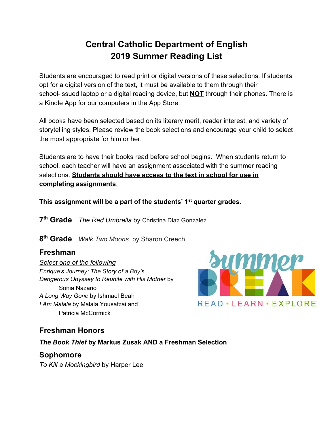## **Central Catholic Department of English 2019 Summer Reading List**

Students are encouraged to read print or digital versions of these selections. If students opt for a digital version of the text, it must be available to them through their school-issued laptop or a digital reading device, but **NOT** through their phones. There is a Kindle App for our computers in the App Store.

All books have been selected based on its literary merit, reader interest, and variety of storytelling styles. Please review the book selections and encourage your child to select the most appropriate for him or her.

Students are to have their books read before school begins. When students return to school, each teacher will have an assignment associated with the summer reading selections. **Students should have access to the text in school for use in completing assignments**.

**This assignment will be a part of the students' 1st quarter grades.**

**7 th Grade** *The Red Umbrella* by Christina Diaz Gonzalez

**8 th Grade** *Walk Two Moons* by Sharon Creech

#### **Freshman**

*Select one of the following Enrique's Journey: The Story of a Boy's Dangerous Odyssey to Reunite with His Mother* by Sonia Nazario *A Long Way Gone* by Ishmael Beah *I Am Malala* by Malala Yousafzai and Patricia McCormick



## **Freshman Honors**

#### *The Book Thief* **by Markus Zusak AND a Freshman Selection**

## **Sophomore**

*To Kill a Mockingbird* by Harper Lee